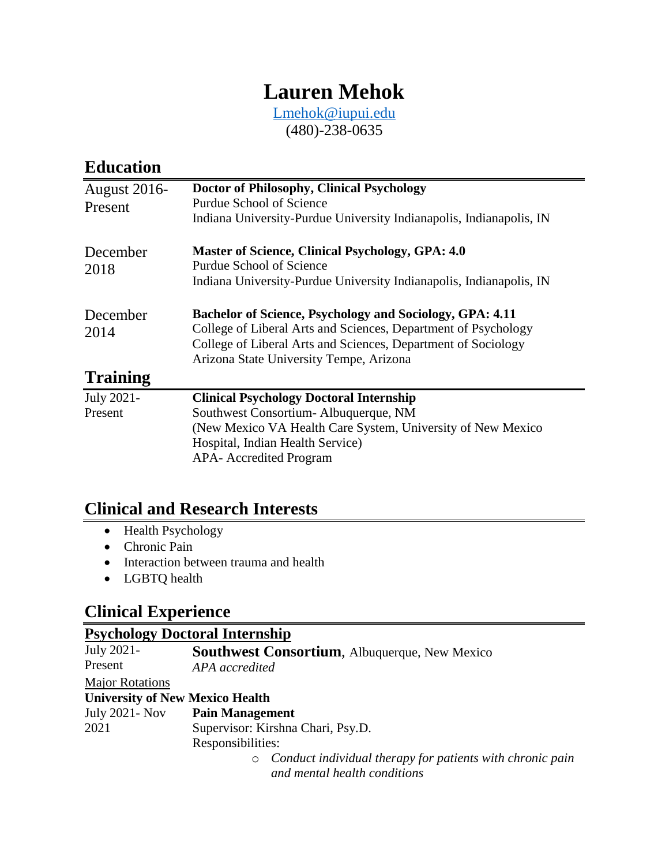# **Lauren Mehok**

[Lmehok@iupui.edu](mailto:Lmehok@iupui.edu) (480)-238-0635

## **Education**

| <b>August 2016-</b> | Doctor of Philosophy, Clinical Psychology                                                                                                                                                                                              |
|---------------------|----------------------------------------------------------------------------------------------------------------------------------------------------------------------------------------------------------------------------------------|
| Present             | <b>Purdue School of Science</b>                                                                                                                                                                                                        |
|                     | Indiana University-Purdue University Indianapolis, Indianapolis, IN                                                                                                                                                                    |
| December<br>2018    | <b>Master of Science, Clinical Psychology, GPA: 4.0</b><br>Purdue School of Science                                                                                                                                                    |
|                     | Indiana University-Purdue University Indianapolis, Indianapolis, IN                                                                                                                                                                    |
| December<br>2014    | Bachelor of Science, Psychology and Sociology, GPA: 4.11<br>College of Liberal Arts and Sciences, Department of Psychology<br>College of Liberal Arts and Sciences, Department of Sociology<br>Arizona State University Tempe, Arizona |
| <b>Training</b>     |                                                                                                                                                                                                                                        |
| July 2021-          | <b>Clinical Psychology Doctoral Internship</b>                                                                                                                                                                                         |
| Present             | Southwest Consortium-Albuquerque, NM                                                                                                                                                                                                   |
|                     | (New Mexico VA Health Care System, University of New Mexico)                                                                                                                                                                           |
|                     | Hospital, Indian Health Service)                                                                                                                                                                                                       |
|                     | <b>APA-</b> Accredited Program                                                                                                                                                                                                         |

## **Clinical and Research Interests**

- Health Psychology
- Chronic Pain
- Interaction between trauma and health
- LGBTQ health

## **Clinical Experience**

## **Psychology Doctoral Internship**

| July 2021-                             | <b>Southwest Consortium, Albuquerque, New Mexico</b>                 |
|----------------------------------------|----------------------------------------------------------------------|
| Present                                | APA accredited                                                       |
| <b>Major Rotations</b>                 |                                                                      |
| <b>University of New Mexico Health</b> |                                                                      |
| July 2021 - Nov                        | <b>Pain Management</b>                                               |
| 2021                                   | Supervisor: Kirshna Chari, Psy.D.                                    |
|                                        | Responsibilities:                                                    |
|                                        | Conduct individual therapy for patients with chronic pain<br>$\circ$ |
|                                        | and mental health conditions                                         |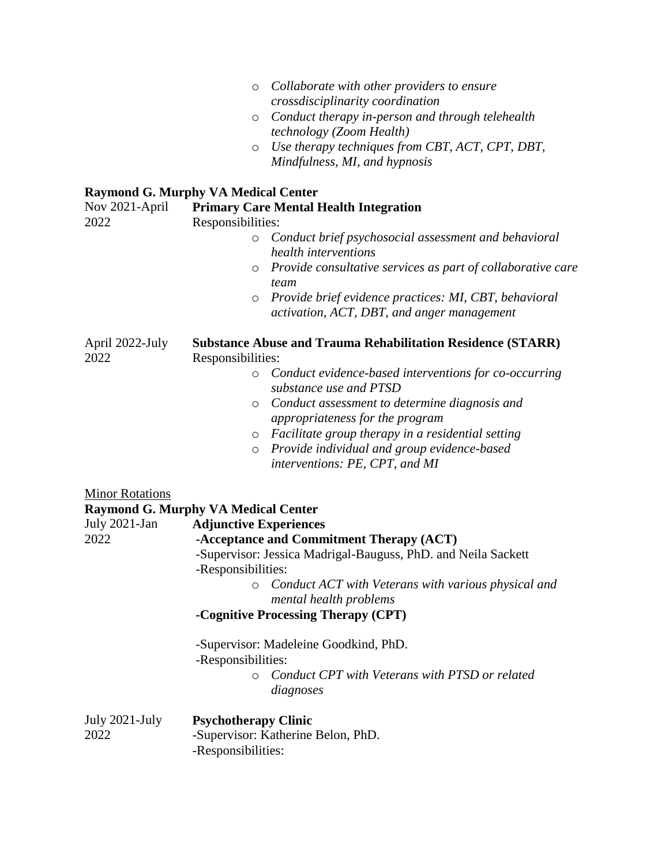| $\circ$ | Collaborate with other providers to ensure |
|---------|--------------------------------------------|
|         | crossdisciplinarity coordination           |

- o *Conduct therapy in-person and through telehealth technology (Zoom Health)*
- o *Use therapy techniques from CBT, ACT, CPT, DBT, Mindfulness, MI, and hypnosis*

#### **Raymond G. Murphy VA Medical Center**

| Nov 2021-April<br>2022  | <b>Primary Care Mental Health Integration</b><br>Responsibilities:                                             |  |
|-------------------------|----------------------------------------------------------------------------------------------------------------|--|
|                         | Conduct brief psychosocial assessment and behavioral<br>$\circ$<br>health interventions                        |  |
|                         | Provide consultative services as part of collaborative care<br>$\circ$<br>team                                 |  |
|                         | Provide brief evidence practices: MI, CBT, behavioral<br>$\circ$<br>activation, ACT, DBT, and anger management |  |
| April 2022-July<br>2022 | <b>Substance Abuse and Trauma Rehabilitation Residence (STARR)</b><br>Responsibilities:                        |  |
|                         | Conduct evidence-based interventions for co-occurring<br>$\circ$<br>substance use and PTSD                     |  |
|                         | Conduct assessment to determine diagnosis and<br>$\circ$<br>appropriateness for the program                    |  |
|                         | Facilitate group therapy in a residential setting<br>$\circ$                                                   |  |
|                         | Provide individual and group evidence-based<br>$\circ$<br>interventions: PE, CPT, and MI                       |  |
| <b>Minor Rotations</b>  | <b>Raymond G. Murphy VA Medical Center</b>                                                                     |  |
| July 2021-Jan           | <b>Adjunctive Experiences</b>                                                                                  |  |
| 2022                    | -Acceptance and Commitment Therapy (ACT)                                                                       |  |
|                         | -Supervisor: Jessica Madrigal-Bauguss, PhD. and Neila Sackett<br>-Responsibilities:                            |  |
|                         | Conduct ACT with Veterans with various physical and<br>$\circ$<br>mental health problems                       |  |
|                         | -Cognitive Processing Therapy (CPT)                                                                            |  |
|                         | -Supervisor: Madeleine Goodkind, PhD.<br>-Responsibilities:                                                    |  |
|                         | Conduct CPT with Veterans with PTSD or related<br>$\circ$<br>diagnoses                                         |  |
| July 2021-July<br>2022  | <b>Psychotherapy Clinic</b><br>-Supervisor: Katherine Belon, PhD.<br>-Responsibilities:                        |  |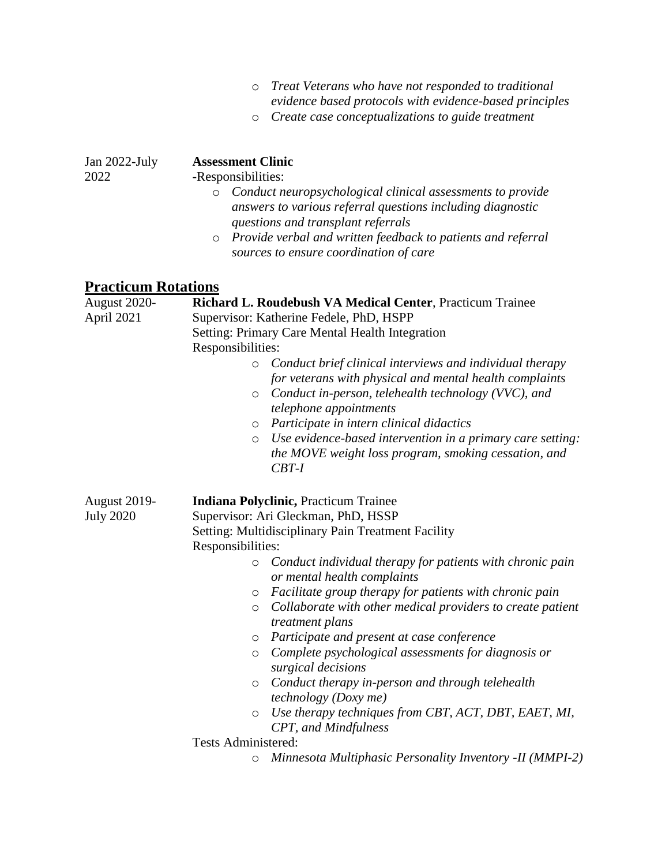| o Treat Veterans who have not responded to traditional  |
|---------------------------------------------------------|
| evidence based protocols with evidence-based principles |

o *Create case conceptualizations to guide treatment* 

| Jan $2022$ -July<br>2022                             | <b>Assessment Clinic</b><br>-Responsibilities:                                                                                                                                                                     |
|------------------------------------------------------|--------------------------------------------------------------------------------------------------------------------------------------------------------------------------------------------------------------------|
|                                                      | Conduct neuropsychological clinical assessments to provide<br>$\circ$<br>answers to various referral questions including diagnostic<br>questions and transplant referrals                                          |
|                                                      | o Provide verbal and written feedback to patients and referral<br>sources to ensure coordination of care                                                                                                           |
| <b>Practicum Rotations</b>                           |                                                                                                                                                                                                                    |
| <b>August 2020-</b><br>$\lambda$ $\lambda$ $\lambda$ | <b>Richard L. Roudebush VA Medical Center, Practicum Trainee</b><br>$\mathbf{r}$ $\mathbf{r}$ $\mathbf{r}$ $\mathbf{r}$ $\mathbf{r}$ $\mathbf{r}$ $\mathbf{r}$ $\mathbf{r}$ $\mathbf{r}$ $\mathbf{r}$ $\mathbf{r}$ |

| <b>August 2020-</b><br>April 2021       | Richard L. Roudebush VA Medical Center, Practicum Trainee<br>Supervisor: Katherine Fedele, PhD, HSPP                                                                                                                                                                                                                                                                                                                                                                                                                                                                                             |
|-----------------------------------------|--------------------------------------------------------------------------------------------------------------------------------------------------------------------------------------------------------------------------------------------------------------------------------------------------------------------------------------------------------------------------------------------------------------------------------------------------------------------------------------------------------------------------------------------------------------------------------------------------|
| <b>August 2019-</b><br><b>July 2020</b> | <b>Setting: Primary Care Mental Health Integration</b><br>Responsibilities:<br>Conduct brief clinical interviews and individual therapy<br>$\circ$<br>for veterans with physical and mental health complaints<br>Conduct in-person, telehealth technology (VVC), and<br>$\circ$                                                                                                                                                                                                                                                                                                                  |
|                                         | telephone appointments<br>Participate in intern clinical didactics<br>$\circ$<br>Use evidence-based intervention in a primary care setting:<br>$\circ$<br>the MOVE weight loss program, smoking cessation, and<br>$CBT-I$                                                                                                                                                                                                                                                                                                                                                                        |
|                                         | <b>Indiana Polyclinic, Practicum Trainee</b><br>Supervisor: Ari Gleckman, PhD, HSSP<br>Setting: Multidisciplinary Pain Treatment Facility<br>Responsibilities:                                                                                                                                                                                                                                                                                                                                                                                                                                   |
|                                         | Conduct individual therapy for patients with chronic pain<br>$\circ$<br>or mental health complaints<br>Facilitate group therapy for patients with chronic pain<br>$\circ$<br>Collaborate with other medical providers to create patient<br>$\circ$<br>treatment plans<br>Participate and present at case conference<br>$\circ$<br>Complete psychological assessments for diagnosis or<br>$\circ$<br>surgical decisions<br>Conduct therapy in-person and through telehealth<br>$\circ$<br><i>technology</i> ( <i>Doxy me</i> )<br>Use therapy techniques from CBT, ACT, DBT, EAET, MI,<br>$\circ$ |
|                                         | CPT, and Mindfulness<br><b>Tests Administered:</b>                                                                                                                                                                                                                                                                                                                                                                                                                                                                                                                                               |
|                                         | Minnesota Multiphasic Personality Inventory -II (MMPI-2)<br>O                                                                                                                                                                                                                                                                                                                                                                                                                                                                                                                                    |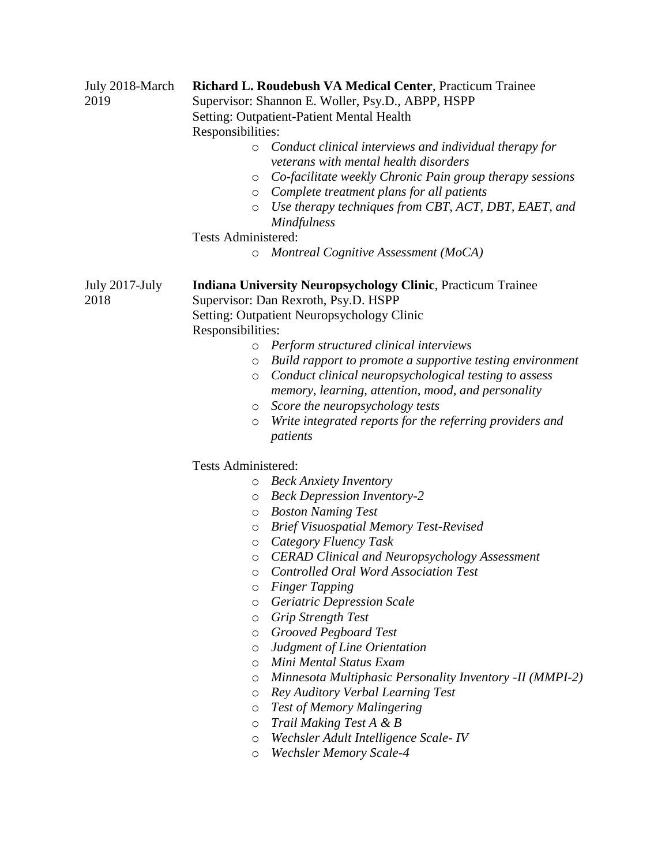| July 2018-March<br>2019 | Responsibilities:<br>$\circ$<br>O<br>$\circ$<br>$\circ$ | Richard L. Roudebush VA Medical Center, Practicum Trainee<br>Supervisor: Shannon E. Woller, Psy.D., ABPP, HSPP<br><b>Setting: Outpatient-Patient Mental Health</b><br>Conduct clinical interviews and individual therapy for<br>veterans with mental health disorders<br>Co-facilitate weekly Chronic Pain group therapy sessions<br>Complete treatment plans for all patients<br>Use therapy techniques from CBT, ACT, DBT, EAET, and<br><i>Mindfulness</i> |
|-------------------------|---------------------------------------------------------|--------------------------------------------------------------------------------------------------------------------------------------------------------------------------------------------------------------------------------------------------------------------------------------------------------------------------------------------------------------------------------------------------------------------------------------------------------------|
|                         | <b>Tests Administered:</b><br>O                         | Montreal Cognitive Assessment (MoCA)                                                                                                                                                                                                                                                                                                                                                                                                                         |
| July 2017-July<br>2018  | Responsibilities:                                       | <b>Indiana University Neuropsychology Clinic, Practicum Trainee</b><br>Supervisor: Dan Rexroth, Psy.D. HSPP<br>Setting: Outpatient Neuropsychology Clinic                                                                                                                                                                                                                                                                                                    |
|                         | $\circ$                                                 | Perform structured clinical interviews                                                                                                                                                                                                                                                                                                                                                                                                                       |
|                         | O                                                       | Build rapport to promote a supportive testing environment                                                                                                                                                                                                                                                                                                                                                                                                    |
|                         | $\circ$                                                 | Conduct clinical neuropsychological testing to assess                                                                                                                                                                                                                                                                                                                                                                                                        |
|                         |                                                         | memory, learning, attention, mood, and personality                                                                                                                                                                                                                                                                                                                                                                                                           |
|                         | $\circ$                                                 | Score the neuropsychology tests                                                                                                                                                                                                                                                                                                                                                                                                                              |
|                         | $\circ$                                                 | Write integrated reports for the referring providers and                                                                                                                                                                                                                                                                                                                                                                                                     |
|                         |                                                         | patients                                                                                                                                                                                                                                                                                                                                                                                                                                                     |
|                         | <b>Tests Administered:</b>                              |                                                                                                                                                                                                                                                                                                                                                                                                                                                              |
|                         | $\circ$                                                 | <b>Beck Anxiety Inventory</b>                                                                                                                                                                                                                                                                                                                                                                                                                                |
|                         | $\circ$                                                 | <b>Beck Depression Inventory-2</b>                                                                                                                                                                                                                                                                                                                                                                                                                           |
|                         | $\circ$                                                 | <b>Boston Naming Test</b>                                                                                                                                                                                                                                                                                                                                                                                                                                    |
|                         | O                                                       | <b>Brief Visuospatial Memory Test-Revised</b>                                                                                                                                                                                                                                                                                                                                                                                                                |
|                         | $\circ$                                                 | Category Fluency Task                                                                                                                                                                                                                                                                                                                                                                                                                                        |
|                         | O                                                       | <b>CERAD Clinical and Neuropsychology Assessment</b>                                                                                                                                                                                                                                                                                                                                                                                                         |
|                         | O                                                       | <b>Controlled Oral Word Association Test</b>                                                                                                                                                                                                                                                                                                                                                                                                                 |
|                         | O                                                       | <b>Finger Tapping</b>                                                                                                                                                                                                                                                                                                                                                                                                                                        |
|                         | O                                                       | <b>Geriatric Depression Scale</b>                                                                                                                                                                                                                                                                                                                                                                                                                            |
|                         | O                                                       | Grip Strength Test                                                                                                                                                                                                                                                                                                                                                                                                                                           |
|                         | $\circ$                                                 | <b>Grooved Pegboard Test</b>                                                                                                                                                                                                                                                                                                                                                                                                                                 |
|                         | $\circ$                                                 | Judgment of Line Orientation                                                                                                                                                                                                                                                                                                                                                                                                                                 |
|                         | $\circ$                                                 | Mini Mental Status Exam                                                                                                                                                                                                                                                                                                                                                                                                                                      |
|                         | $\circ$                                                 | Minnesota Multiphasic Personality Inventory -II (MMPI-2)                                                                                                                                                                                                                                                                                                                                                                                                     |
|                         | $\circ$                                                 | Rey Auditory Verbal Learning Test                                                                                                                                                                                                                                                                                                                                                                                                                            |
|                         | $\circ$                                                 | <b>Test of Memory Malingering</b>                                                                                                                                                                                                                                                                                                                                                                                                                            |
|                         | $\circ$                                                 | Trail Making Test A & B                                                                                                                                                                                                                                                                                                                                                                                                                                      |
|                         | $\circ$                                                 | Wechsler Adult Intelligence Scale-IV                                                                                                                                                                                                                                                                                                                                                                                                                         |
|                         | $\circ$                                                 | <b>Wechsler Memory Scale-4</b>                                                                                                                                                                                                                                                                                                                                                                                                                               |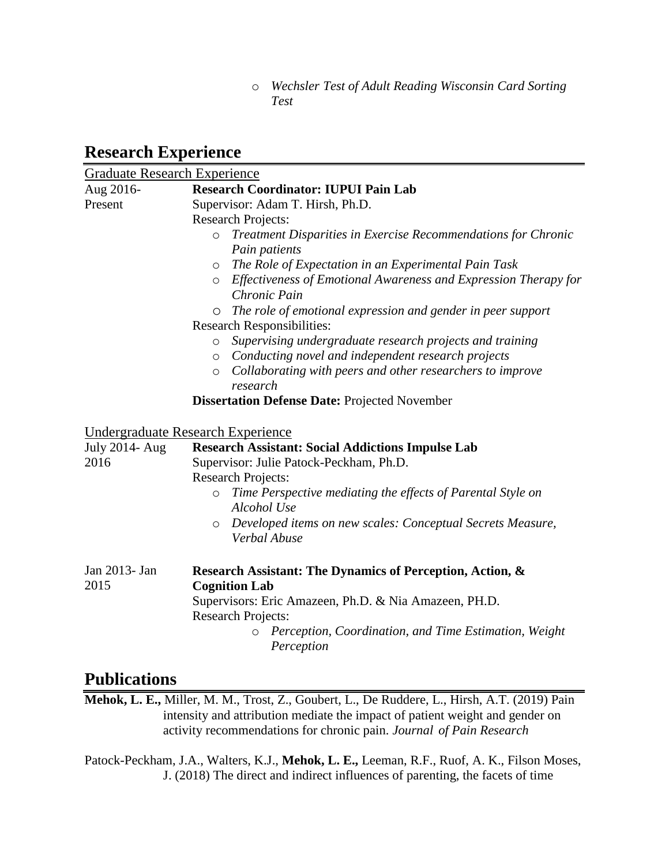o *Wechsler Test of Adult Reading Wisconsin Card Sorting Test*

## **Research Experience**

| <b>Graduate Research Experience</b> |                                                                                            |  |
|-------------------------------------|--------------------------------------------------------------------------------------------|--|
| Aug 2016-                           | <b>Research Coordinator: IUPUI Pain Lab</b>                                                |  |
| Present                             | Supervisor: Adam T. Hirsh, Ph.D.                                                           |  |
|                                     | <b>Research Projects:</b>                                                                  |  |
|                                     | Treatment Disparities in Exercise Recommendations for Chronic<br>$\circ$                   |  |
|                                     | Pain patients                                                                              |  |
|                                     | The Role of Expectation in an Experimental Pain Task<br>$\circ$                            |  |
|                                     | Effectiveness of Emotional Awareness and Expression Therapy for<br>$\circ$<br>Chronic Pain |  |
|                                     | The role of emotional expression and gender in peer support                                |  |
|                                     | <b>Research Responsibilities:</b>                                                          |  |
|                                     | Supervising undergraduate research projects and training<br>$\circ$                        |  |
|                                     | Conducting novel and independent research projects<br>$\circ$                              |  |
|                                     | Collaborating with peers and other researchers to improve<br>$\circ$                       |  |
|                                     | research                                                                                   |  |
|                                     | <b>Dissertation Defense Date: Projected November</b>                                       |  |
|                                     | Undergraduate Research Experience                                                          |  |
| <b>July 2014- Aug</b>               | <b>Research Assistant: Social Addictions Impulse Lab</b>                                   |  |
| 2016                                | Supervisor: Julie Patock-Peckham, Ph.D.                                                    |  |
|                                     | <b>Research Projects:</b>                                                                  |  |
|                                     | Time Perspective mediating the effects of Parental Style on<br>$\circ$<br>Alcohol Use      |  |
|                                     | Developed items on new scales: Conceptual Secrets Measure,<br>$\circ$<br>Verbal Abuse      |  |
| Jan 2013- Jan<br>2015               | Research Assistant: The Dynamics of Perception, Action, &<br><b>Cognition Lab</b>          |  |
|                                     | Supervisors: Eric Amazeen, Ph.D. & Nia Amazeen, PH.D.<br><b>Research Projects:</b>         |  |
|                                     | Perception, Coordination, and Time Estimation, Weight<br>$\circ$<br>Perception             |  |

### **Publications**

**Mehok, L. E.,** Miller, M. M., Trost, Z., Goubert, L., De Ruddere, L., Hirsh, A.T. (2019) Pain intensity and attribution mediate the impact of patient weight and gender on activity recommendations for chronic pain. *Journal of Pain Research*

Patock-Peckham, J.A., Walters, K.J., **Mehok, L. E.,** Leeman, R.F., Ruof, A. K., Filson Moses, J. (2018) The direct and indirect influences of parenting, the facets of time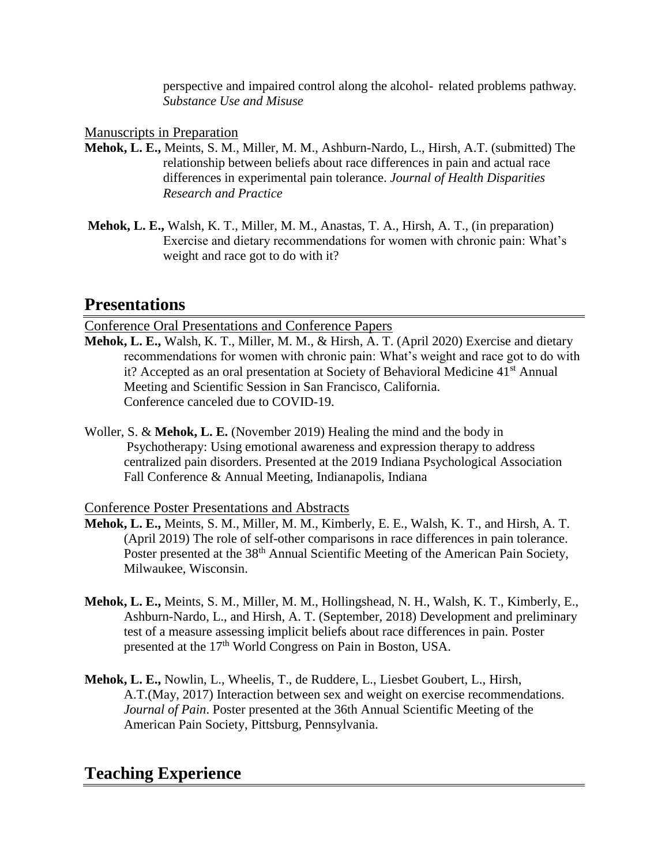perspective and impaired control along the alcohol- related problems pathway*. Substance Use and Misuse*

Manuscripts in Preparation

- **Mehok, L. E.,** Meints, S. M., Miller, M. M., Ashburn-Nardo, L., Hirsh, A.T. (submitted) The relationship between beliefs about race differences in pain and actual race differences in experimental pain tolerance. *Journal of Health Disparities Research and Practice*
- **Mehok, L. E.,** Walsh, K. T., Miller, M. M., Anastas, T. A., Hirsh, A. T., (in preparation) Exercise and dietary recommendations for women with chronic pain: What's weight and race got to do with it?

### **Presentations**

Conference Oral Presentations and Conference Papers

- **Mehok, L. E.,** Walsh, K. T., Miller, M. M., & Hirsh, A. T. (April 2020) Exercise and dietary recommendations for women with chronic pain: What's weight and race got to do with it? Accepted as an oral presentation at Society of Behavioral Medicine 41<sup>st</sup> Annual Meeting and Scientific Session in San Francisco, California. Conference canceled due to COVID-19.
- Woller, S. & **Mehok, L. E.** (November 2019) Healing the mind and the body in Psychotherapy: Using emotional awareness and expression therapy to address centralized pain disorders. Presented at the 2019 Indiana Psychological Association Fall Conference & Annual Meeting, Indianapolis, Indiana

#### Conference Poster Presentations and Abstracts

- **Mehok, L. E.,** Meints, S. M., Miller, M. M., Kimberly, E. E., Walsh, K. T., and Hirsh, A. T. (April 2019) The role of self-other comparisons in race differences in pain tolerance. Poster presented at the 38<sup>th</sup> Annual Scientific Meeting of the American Pain Society, Milwaukee, Wisconsin.
- **Mehok, L. E.,** Meints, S. M., Miller, M. M., Hollingshead, N. H., Walsh, K. T., Kimberly, E., Ashburn-Nardo, L., and Hirsh, A. T. (September, 2018) Development and preliminary test of a measure assessing implicit beliefs about race differences in pain. Poster presented at the 17<sup>th</sup> World Congress on Pain in Boston, USA.
- **Mehok, L. E.,** Nowlin, L., Wheelis, T., de Ruddere, L., Liesbet Goubert, L., Hirsh, A.T.(May, 2017) Interaction between sex and weight on exercise recommendations. *Journal of Pain*. Poster presented at the 36th Annual Scientific Meeting of the American Pain Society, Pittsburg, Pennsylvania.

## **Teaching Experience**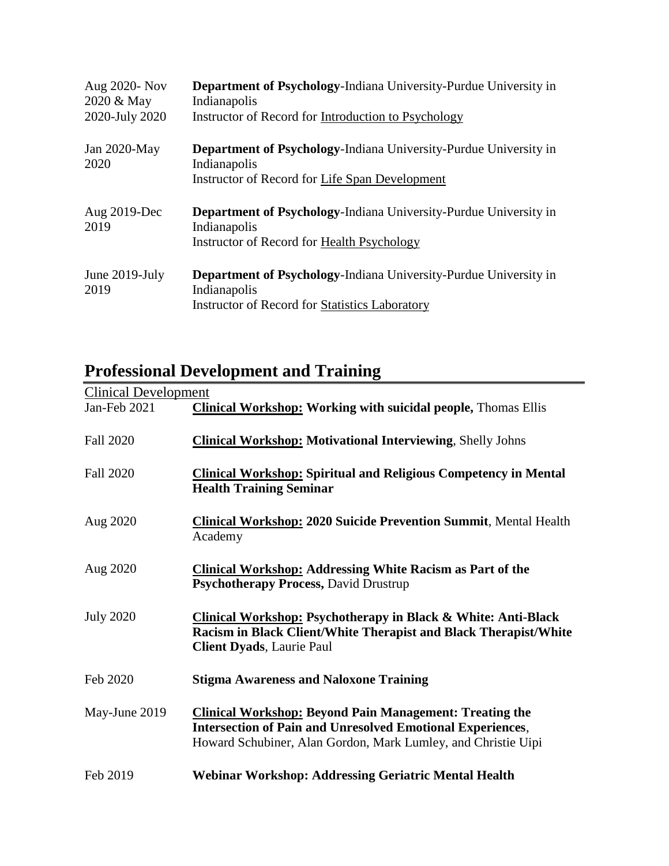| Aug 2020- Nov<br>2020 & May<br>2020-July 2020 | <b>Department of Psychology-Indiana University-Purdue University in</b><br>Indianapolis<br>Instructor of Record for Introduction to Psychology |
|-----------------------------------------------|------------------------------------------------------------------------------------------------------------------------------------------------|
| Jan $2020$ -May<br>2020                       | Department of Psychology-Indiana University-Purdue University in<br>Indianapolis<br>Instructor of Record for Life Span Development             |
| Aug 2019-Dec<br>2019                          | <b>Department of Psychology-Indiana University-Purdue University in</b><br>Indianapolis<br>Instructor of Record for Health Psychology          |
| June 2019-July                                | <b>Department of Psychology-Indiana University-Purdue University in</b>                                                                        |

# **Professional Development and Training**

| <b>Clinical Development</b> |                                                                                                                                                                                                      |
|-----------------------------|------------------------------------------------------------------------------------------------------------------------------------------------------------------------------------------------------|
| Jan-Feb 2021                | <b>Clinical Workshop: Working with suicidal people, Thomas Ellis</b>                                                                                                                                 |
| <b>Fall 2020</b>            | <b>Clinical Workshop: Motivational Interviewing, Shelly Johns</b>                                                                                                                                    |
| <b>Fall 2020</b>            | <b>Clinical Workshop: Spiritual and Religious Competency in Mental</b><br><b>Health Training Seminar</b>                                                                                             |
| Aug 2020                    | <b>Clinical Workshop: 2020 Suicide Prevention Summit, Mental Health</b><br>Academy                                                                                                                   |
| Aug 2020                    | <b>Clinical Workshop: Addressing White Racism as Part of the</b><br><b>Psychotherapy Process, David Drustrup</b>                                                                                     |
| <b>July 2020</b>            | <b>Clinical Workshop: Psychotherapy in Black &amp; White: Anti-Black</b><br>Racism in Black Client/White Therapist and Black Therapist/White<br><b>Client Dyads</b> , Laurie Paul                    |
| Feb 2020                    | <b>Stigma Awareness and Naloxone Training</b>                                                                                                                                                        |
| May-June 2019               | <b>Clinical Workshop: Beyond Pain Management: Treating the</b><br><b>Intersection of Pain and Unresolved Emotional Experiences,</b><br>Howard Schubiner, Alan Gordon, Mark Lumley, and Christie Uipi |
| Feb 2019                    | <b>Webinar Workshop: Addressing Geriatric Mental Health</b>                                                                                                                                          |

 $\overline{\phantom{0}}$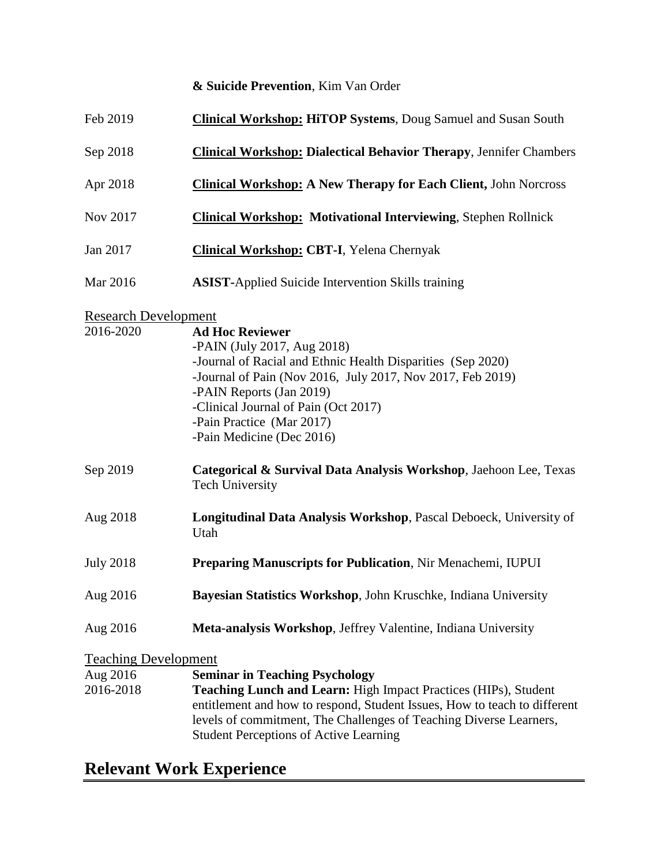#### **& Suicide Prevention**, Kim Van Order

| Feb 2019                    | <b>Clinical Workshop: HiTOP Systems, Doug Samuel and Susan South</b>                                                                                                                                                                                                                                             |
|-----------------------------|------------------------------------------------------------------------------------------------------------------------------------------------------------------------------------------------------------------------------------------------------------------------------------------------------------------|
| Sep 2018                    | <b>Clinical Workshop: Dialectical Behavior Therapy, Jennifer Chambers</b>                                                                                                                                                                                                                                        |
| Apr 2018                    | <b>Clinical Workshop: A New Therapy for Each Client, John Norcross</b>                                                                                                                                                                                                                                           |
| Nov 2017                    | <b>Clinical Workshop: Motivational Interviewing, Stephen Rollnick</b>                                                                                                                                                                                                                                            |
| Jan 2017                    | <b>Clinical Workshop: CBT-I, Yelena Chernyak</b>                                                                                                                                                                                                                                                                 |
| Mar 2016                    | <b>ASIST-Applied Suicide Intervention Skills training</b>                                                                                                                                                                                                                                                        |
| <b>Research Development</b> |                                                                                                                                                                                                                                                                                                                  |
| 2016-2020                   | <b>Ad Hoc Reviewer</b><br>-PAIN (July 2017, Aug 2018)<br>-Journal of Racial and Ethnic Health Disparities (Sep 2020)<br>-Journal of Pain (Nov 2016, July 2017, Nov 2017, Feb 2019)<br>-PAIN Reports (Jan 2019)<br>-Clinical Journal of Pain (Oct 2017)<br>-Pain Practice (Mar 2017)<br>-Pain Medicine (Dec 2016) |
| Sep 2019                    | Categorical & Survival Data Analysis Workshop, Jaehoon Lee, Texas<br><b>Tech University</b>                                                                                                                                                                                                                      |
| Aug 2018                    | Longitudinal Data Analysis Workshop, Pascal Deboeck, University of<br>Utah                                                                                                                                                                                                                                       |
| <b>July 2018</b>            | Preparing Manuscripts for Publication, Nir Menachemi, IUPUI                                                                                                                                                                                                                                                      |
| Aug 2016                    | Bayesian Statistics Workshop, John Kruschke, Indiana University                                                                                                                                                                                                                                                  |
| Aug 2016                    | Meta-analysis Workshop, Jeffrey Valentine, Indiana University                                                                                                                                                                                                                                                    |
| <b>Teaching Development</b> |                                                                                                                                                                                                                                                                                                                  |
| Aug 2016<br>2016-2018       | <b>Seminar in Teaching Psychology</b><br>Teaching Lunch and Learn: High Impact Practices (HIPs), Student<br>entitlement and how to respond, Student Issues, How to teach to different<br>levels of commitment, The Challenges of Teaching Diverse Learners,<br><b>Student Perceptions of Active Learning</b>     |

## **Relevant Work Experience**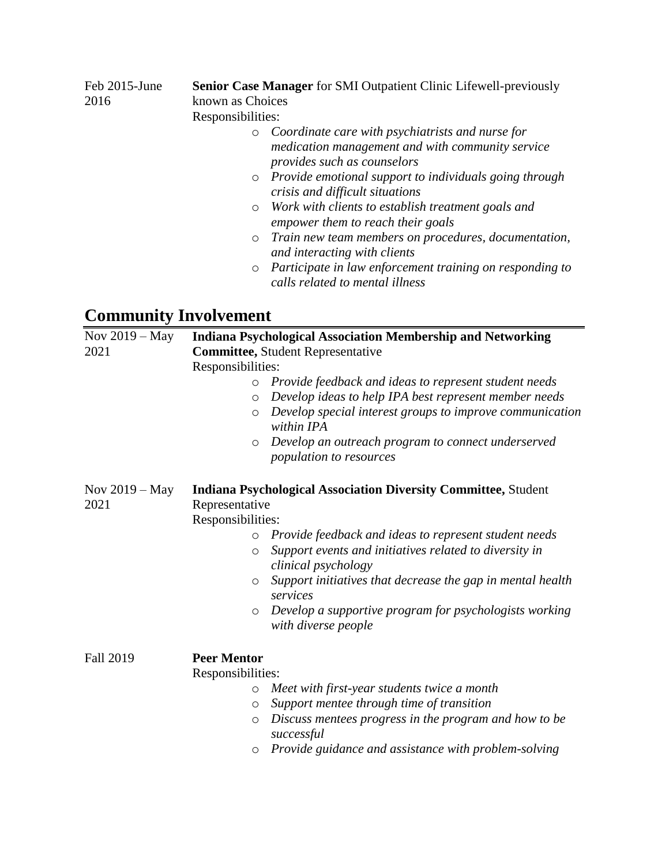| Feb 2015-June<br>2016 | Senior Case Manager for SMI Outpatient Clinic Lifewell-previously<br>known as Choices                                                                                                                               |
|-----------------------|---------------------------------------------------------------------------------------------------------------------------------------------------------------------------------------------------------------------|
|                       | Responsibilities:                                                                                                                                                                                                   |
|                       | Coordinate care with psychiatrists and nurse for<br>$\circ$<br>medication management and with community service<br>provides such as counselors<br>Provide emotional support to individuals going through<br>$\circ$ |
|                       | crisis and difficult situations                                                                                                                                                                                     |
|                       | Work with clients to establish treatment goals and<br>$\circ$<br>empower them to reach their goals                                                                                                                  |
|                       | Train new team members on procedures, documentation,<br>$\circ$<br>and interacting with clients                                                                                                                     |
|                       | Participate in law enforcement training on responding to<br>$\circ$<br>calls related to mental illness                                                                                                              |

# **Community Involvement**

| Nov $2019 - May$<br>2021 | <b>Indiana Psychological Association Membership and Networking</b><br><b>Committee, Student Representative</b><br>Responsibilities:                                                                                                                                                                                                                                                                                                                           |
|--------------------------|---------------------------------------------------------------------------------------------------------------------------------------------------------------------------------------------------------------------------------------------------------------------------------------------------------------------------------------------------------------------------------------------------------------------------------------------------------------|
|                          | Provide feedback and ideas to represent student needs<br>$\circ$<br>Develop ideas to help IPA best represent member needs<br>$\circ$<br>Develop special interest groups to improve communication<br>$\circ$<br>within IPA<br>Develop an outreach program to connect underserved<br>$\circ$<br>population to resources                                                                                                                                         |
| Nov $2019 - May$<br>2021 | <b>Indiana Psychological Association Diversity Committee, Student</b><br>Representative<br>Responsibilities:<br>Provide feedback and ideas to represent student needs<br>$\circ$<br>Support events and initiatives related to diversity in<br>$\circ$<br>clinical psychology<br>Support initiatives that decrease the gap in mental health<br>$\circ$<br>services<br>Develop a supportive program for psychologists working<br>$\circ$<br>with diverse people |
| <b>Fall 2019</b>         | <b>Peer Mentor</b><br>Responsibilities:<br>Meet with first-year students twice a month<br>$\circ$<br>Support mentee through time of transition<br>$\circ$<br>Discuss mentees progress in the program and how to be<br>$\circ$<br>successful<br>Provide guidance and assistance with problem-solving<br>$\circ$                                                                                                                                                |